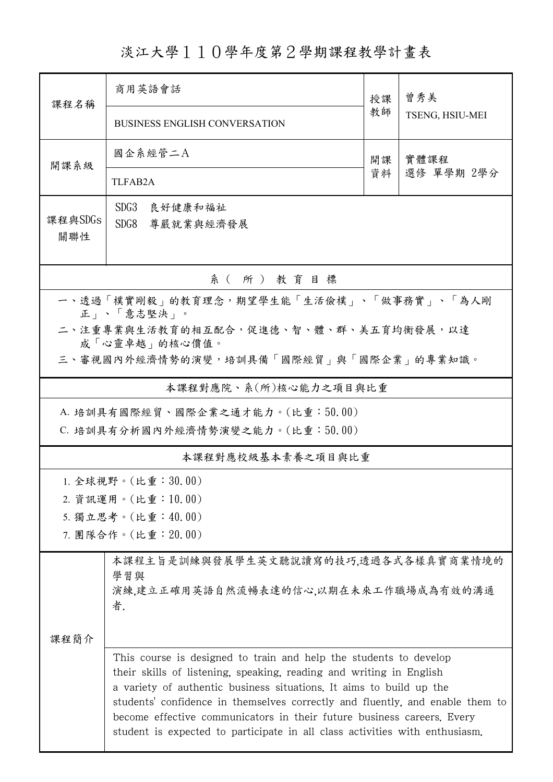淡江大學110學年度第2學期課程教學計畫表

| 課程名稱                                                    | 商用英語會話                                                                                                                                                                                                                                                                                                                                                                                                                                                    | 授課 | 曾秀美<br>TSENG, HSIU-MEI |  |  |  |
|---------------------------------------------------------|-----------------------------------------------------------------------------------------------------------------------------------------------------------------------------------------------------------------------------------------------------------------------------------------------------------------------------------------------------------------------------------------------------------------------------------------------------------|----|------------------------|--|--|--|
|                                                         | <b>BUSINESS ENGLISH CONVERSATION</b>                                                                                                                                                                                                                                                                                                                                                                                                                      | 教師 |                        |  |  |  |
| 開課系級                                                    | 國企系經管二A                                                                                                                                                                                                                                                                                                                                                                                                                                                   | 開課 | 實體課程<br>選修 單學期 2學分     |  |  |  |
|                                                         | TLFAB <sub>2</sub> A                                                                                                                                                                                                                                                                                                                                                                                                                                      | 資料 |                        |  |  |  |
| 課程與SDGs                                                 | SDG <sub>3</sub><br>良好健康和福祉                                                                                                                                                                                                                                                                                                                                                                                                                               |    |                        |  |  |  |
| 關聯性                                                     | SDG8<br>尊嚴就業與經濟發展                                                                                                                                                                                                                                                                                                                                                                                                                                         |    |                        |  |  |  |
| 系(所)教育目標                                                |                                                                                                                                                                                                                                                                                                                                                                                                                                                           |    |                        |  |  |  |
| 一、透過「樸實剛毅」的教育理念,期望學生能「生活儉樸」、「做事務實」、「為人剛<br>正」、「意志堅決」。   |                                                                                                                                                                                                                                                                                                                                                                                                                                                           |    |                        |  |  |  |
| 二、注重專業與生活教育的相互配合,促進德、智、體、群、美五育均衡發展,以達                   |                                                                                                                                                                                                                                                                                                                                                                                                                                                           |    |                        |  |  |  |
| 成「心靈卓越」的核心價值。<br>三、審視國內外經濟情勢的演變,培訓具備「國際經貿」與「國際企業」的專業知識。 |                                                                                                                                                                                                                                                                                                                                                                                                                                                           |    |                        |  |  |  |
| 本課程對應院、系(所)核心能力之項目與比重                                   |                                                                                                                                                                                                                                                                                                                                                                                                                                                           |    |                        |  |  |  |
| A. 培訓具有國際經貿、國際企業之通才能力。(比重:50.00)                        |                                                                                                                                                                                                                                                                                                                                                                                                                                                           |    |                        |  |  |  |
| C. 培訓具有分析國內外經濟情勢演變之能力。(比重:50.00)                        |                                                                                                                                                                                                                                                                                                                                                                                                                                                           |    |                        |  |  |  |
| 本課程對應校級基本素養之項目與比重                                       |                                                                                                                                                                                                                                                                                                                                                                                                                                                           |    |                        |  |  |  |
|                                                         | 1. 全球視野。(比重:30.00)                                                                                                                                                                                                                                                                                                                                                                                                                                        |    |                        |  |  |  |
| 2. 資訊運用。(比重:10.00)<br>5. 獨立思考。(比重:40.00)                |                                                                                                                                                                                                                                                                                                                                                                                                                                                           |    |                        |  |  |  |
| 7. 團隊合作。(比重: 20.00)                                     |                                                                                                                                                                                                                                                                                                                                                                                                                                                           |    |                        |  |  |  |
|                                                         | 本課程主旨是訓練與發展學生英文聽說讀寫的技巧,透過各式各樣真實商業情境的                                                                                                                                                                                                                                                                                                                                                                                                                      |    |                        |  |  |  |
|                                                         | 學習與<br>演練,建立正確用英語自然流暢表達的信心,以期在未來工作職場成為有效的溝通                                                                                                                                                                                                                                                                                                                                                                                                               |    |                        |  |  |  |
| 课程简介                                                    | 者.                                                                                                                                                                                                                                                                                                                                                                                                                                                        |    |                        |  |  |  |
|                                                         |                                                                                                                                                                                                                                                                                                                                                                                                                                                           |    |                        |  |  |  |
|                                                         | This course is designed to train and help the students to develop<br>their skills of listening, speaking, reading and writing in English<br>a variety of authentic business situations. It aims to build up the<br>students' confidence in themselves correctly and fluently, and enable them to<br>become effective communicators in their future business careers. Every<br>student is expected to participate in all class activities with enthusiasm. |    |                        |  |  |  |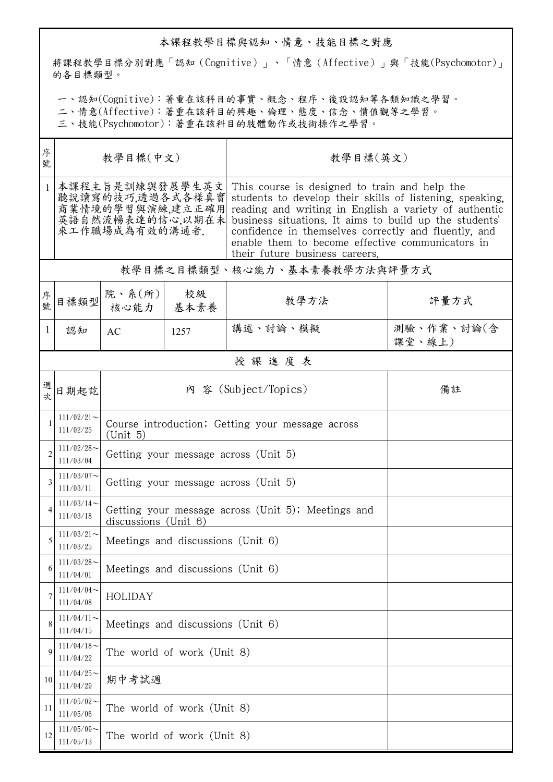## 本課程教學目標與認知、情意、技能目標之對應

將課程教學目標分別對應「認知(Cognitive)」、「情意(Affective)」與「技能(Psychomotor)」 的各目標類型。

一、認知(Cognitive):著重在該科目的事實、概念、程序、後設認知等各類知識之學習。

二、情意(Affective):著重在該科目的興趣、倫理、態度、信念、價值觀等之學習。

三、技能(Psychomotor):著重在該科目的肢體動作或技術操作之學習。

| 序<br>號       | 教學目標(中文)                                                                                      |                                                                               |            | 教學目標(英文)                                                                                                                                                                                                                                                                                                                                                                   |                      |  |  |  |
|--------------|-----------------------------------------------------------------------------------------------|-------------------------------------------------------------------------------|------------|----------------------------------------------------------------------------------------------------------------------------------------------------------------------------------------------------------------------------------------------------------------------------------------------------------------------------------------------------------------------------|----------------------|--|--|--|
| $\mathbf{1}$ | 本課程主旨是訓練與發展學生英文<br>聽說讀寫的技巧,透過各式各樣真實<br>商業情境的學習與演練,建立正確用<br>英語自然流暢表達的信心,以期在未<br>來工作職場成為有效的溝通者. |                                                                               |            | This course is designed to train and help the<br>students to develop their skills of listening, speaking,<br>reading and writing in English a variety of authentic<br>business situations. It aims to build up the students'<br>confidence in themselves correctly and fluently, and<br>enable them to become effective communicators in<br>their future business careers. |                      |  |  |  |
|              | 教學目標之目標類型、核心能力、基本素養教學方法與評量方式                                                                  |                                                                               |            |                                                                                                                                                                                                                                                                                                                                                                            |                      |  |  |  |
| 序號           | 目標類型                                                                                          | 院、系 $(\kappa)$  <br>核心能力                                                      | 校級<br>基本素養 | 教學方法                                                                                                                                                                                                                                                                                                                                                                       | 評量方式                 |  |  |  |
| $\mathbf{1}$ | 認知                                                                                            | AC                                                                            | 1257       | 講述、討論、模擬                                                                                                                                                                                                                                                                                                                                                                   | 測驗、作業、討論(含<br>課堂、線上) |  |  |  |
|              |                                                                                               |                                                                               |            | 授課進度表                                                                                                                                                                                                                                                                                                                                                                      |                      |  |  |  |
| 週<br>坛       | 日期起訖                                                                                          | 內 容 (Subject/Topics)<br>備註                                                    |            |                                                                                                                                                                                                                                                                                                                                                                            |                      |  |  |  |
|              | $111/02/21$ ~<br>111/02/25                                                                    | Course introduction; Getting your message across<br>(Unit 5)                  |            |                                                                                                                                                                                                                                                                                                                                                                            |                      |  |  |  |
| 2            | $111/02/28$ ~<br>111/03/04                                                                    | Getting your message across (Unit 5)                                          |            |                                                                                                                                                                                                                                                                                                                                                                            |                      |  |  |  |
| 3            | $111/03/07$ ~<br>111/03/11                                                                    | Getting your message across (Unit 5)                                          |            |                                                                                                                                                                                                                                                                                                                                                                            |                      |  |  |  |
| 4            | $111/03/14$ ~<br>111/03/18                                                                    | Getting your message across (Unit 5); Meetings and<br>discussions (Unit $6$ ) |            |                                                                                                                                                                                                                                                                                                                                                                            |                      |  |  |  |
|              | $111/03/21$ ~<br>111/03/25                                                                    | Meetings and discussions (Unit 6)                                             |            |                                                                                                                                                                                                                                                                                                                                                                            |                      |  |  |  |
| 6            | $111/03/28$ ~<br>111/04/01                                                                    | Meetings and discussions (Unit 6)                                             |            |                                                                                                                                                                                                                                                                                                                                                                            |                      |  |  |  |
|              | $111/04/04$ ~<br>111/04/08                                                                    | HOLIDAY                                                                       |            |                                                                                                                                                                                                                                                                                                                                                                            |                      |  |  |  |
|              | $111/04/11$ ~<br>111/04/15                                                                    | Meetings and discussions (Unit 6)                                             |            |                                                                                                                                                                                                                                                                                                                                                                            |                      |  |  |  |
| 9            | $111/04/18$ ~<br>111/04/22                                                                    | The world of work (Unit 8)                                                    |            |                                                                                                                                                                                                                                                                                                                                                                            |                      |  |  |  |
| 10           | $111/04/25$ ~<br>111/04/29                                                                    | 期中考試週                                                                         |            |                                                                                                                                                                                                                                                                                                                                                                            |                      |  |  |  |
| 11           | $111/05/02$ ~<br>111/05/06                                                                    | The world of work (Unit 8)                                                    |            |                                                                                                                                                                                                                                                                                                                                                                            |                      |  |  |  |
| 12           | $111/05/09$ ~<br>111/05/13                                                                    | The world of work (Unit 8)                                                    |            |                                                                                                                                                                                                                                                                                                                                                                            |                      |  |  |  |